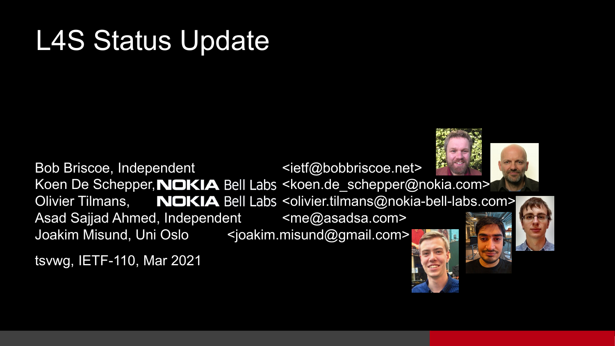#### L4S Status Update

Bob Briscoe, Independent example the state of  $\leq$  ietf@bobbriscoe.net> Koen De Schepper, NOKIA Bell Labs <koen.de schepper@nokia.com> Olivier Tilmans, NOKIA Bell Labs <olivier.tilmans@nokia-bell-labs.com> Asad Sajjad Ahmed, Independent <me@asadsa.com> Joakim Misund, Uni Oslo <joakim.misund@gmail.com>

tsvwg, IETF-110, Mar 2021



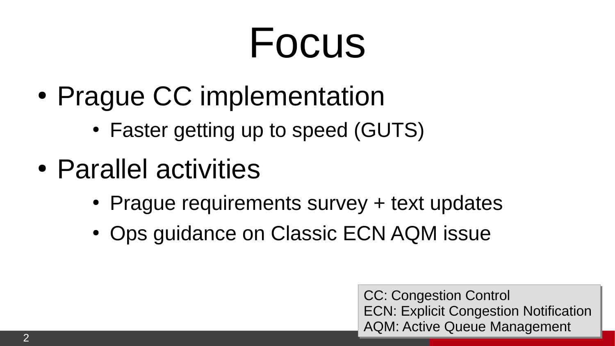### Focus

- Prague CC implementation
	- Faster getting up to speed (GUTS)
- Parallel activities
	- Prague requirements survey + text updates
	- Ops guidance on Classic ECN AQM issue

CC: Congestion Control CC: Congestion Control ECN: Explicit Congestion Notification ECN: Explicit Congestion Notification AQM: Active Queue Management AQM: Active Queue Management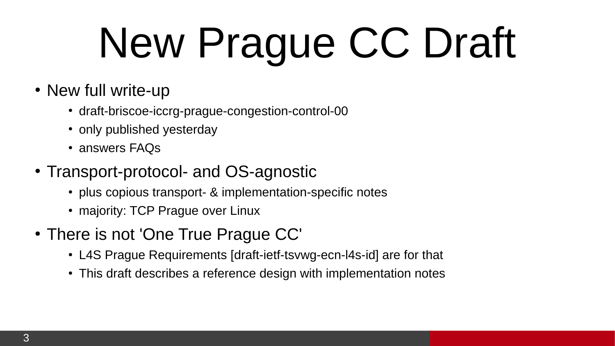## New Prague CC Draft

- New full write-up
	- draft-briscoe-iccrg-prague-congestion-control-00
	- only published yesterday
	- answers FAQs
- Transport-protocol- and OS-agnostic
	- plus copious transport- & implementation-specific notes
	- majority: TCP Prague over Linux
- There is not 'One True Prague CC'
	- L4S Prague Requirements [draft-ietf-tsvwg-ecn-l4s-id] are for that
	- This draft describes a reference design with implementation notes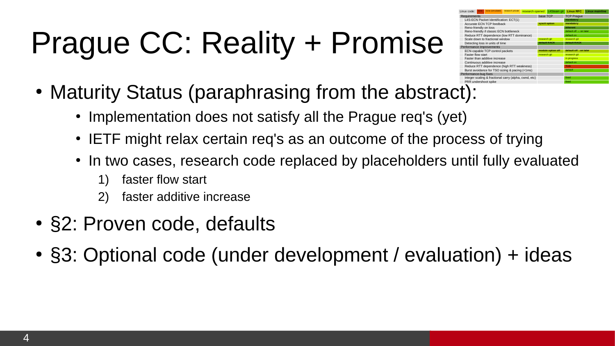#### Prague CC: Reality + Promise

| Linux code:              |                                           | none                                      | none (simulated)                                      | research private | research opened |                   | L4Steam git                  | <b>Linux RFC</b>       | <b>Linux mainline</b> |
|--------------------------|-------------------------------------------|-------------------------------------------|-------------------------------------------------------|------------------|-----------------|-------------------|------------------------------|------------------------|-----------------------|
| <b>Requirements</b>      |                                           |                                           |                                                       |                  |                 | base TCP          |                              | <b>TCP Prague</b>      |                       |
|                          | L4S-ECN Packet Identification: ECT(1)     |                                           |                                                       |                  |                 |                   |                              | mandatory              |                       |
|                          | Accurate ECN TCP feedback                 |                                           |                                                       |                  |                 |                   | sysctl option                | mandatory              |                       |
|                          | Reno-friendly on loss                     |                                           |                                                       |                  |                 |                   |                              | inherent               |                       |
|                          | Reno-friendly if classic ECN bottleneck   |                                           |                                                       |                  |                 |                   |                              | default off - on later |                       |
|                          | Reduce RTT dependence (low RTT dominance) |                                           |                                                       |                  |                 |                   |                              | default on             |                       |
|                          | Scale down to fractional window           |                                           |                                                       |                  |                 | research git      |                              | research git           |                       |
|                          | Detecting loss in units of time           |                                           |                                                       |                  |                 |                   | default RACK<br>default RACK |                        |                       |
| Performance Improvements |                                           |                                           |                                                       |                  |                 |                   |                              |                        |                       |
|                          | ECN-capable TCP control packets           |                                           |                                                       |                  |                 | module option off |                              | default off - on later |                       |
|                          | <b>Faster flow start</b>                  |                                           |                                                       |                  |                 | research git      |                              | research git           |                       |
|                          |                                           | Faster than additive increase             |                                                       |                  |                 |                   |                              | in progress            |                       |
|                          |                                           | Continuous additive increase              |                                                       |                  |                 |                   |                              | default on             |                       |
|                          |                                           | Reduce RTT dependence (high RTT weakness) |                                                       |                  |                 |                   |                              | Todo                   |                       |
|                          |                                           |                                           | Burst avoidance for TSO sizing & pacing (<1ms)        |                  |                 |                   |                              | default                |                       |
| Performance-bug fixes    |                                           |                                           |                                                       |                  |                 |                   |                              |                        |                       |
|                          |                                           |                                           | integer scaling & fractional carry (alpha, cwnd, etc) |                  |                 |                   |                              | fixed                  |                       |
|                          |                                           |                                           | PRR undershoot spike                                  |                  |                 |                   |                              | fixed                  |                       |
|                          | $\blacksquare$                            |                                           |                                                       |                  |                 |                   |                              |                        |                       |

- Maturity Status (paraphrasing from the abstract):
	- Implementation does not satisfy all the Prague req's (yet)
	- IETF might relax certain req's as an outcome of the process of trying
	- In two cases, research code replaced by placeholders until fully evaluated
		- 1) faster flow start
		- 2) faster additive increase
- §2: Proven code, defaults
- §3: Optional code (under development / evaluation) + ideas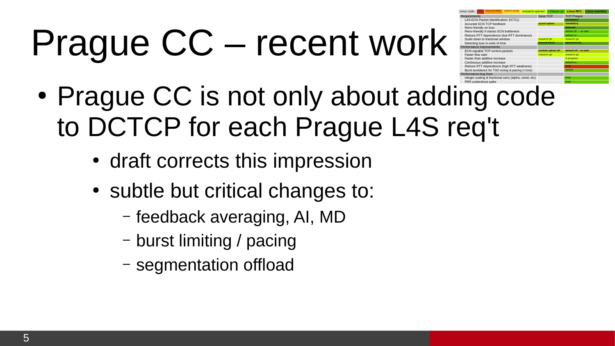## Prague CC – recent work

| Linux code:                     |                                           | none | none (simulated)                                      | research private |  |                   | research opened L4Steam git | <b>Linux RFC</b>       | <b>Linux mainline</b> |  |
|---------------------------------|-------------------------------------------|------|-------------------------------------------------------|------------------|--|-------------------|-----------------------------|------------------------|-----------------------|--|
| <b>Requirements</b>             |                                           |      |                                                       |                  |  |                   | base TCP                    | <b>TCP Prague</b>      |                       |  |
|                                 | L4S-ECN Packet Identification: ECT(1)     |      |                                                       |                  |  |                   |                             | mandatory              |                       |  |
|                                 | Accurate ECN TCP feedback                 |      |                                                       |                  |  |                   | syscti option               | mandatory              |                       |  |
|                                 | Reno-friendly on loss                     |      |                                                       |                  |  |                   |                             | inherent               |                       |  |
|                                 | Reno-friendly if classic ECN bottleneck   |      |                                                       |                  |  |                   |                             | default off - on later |                       |  |
|                                 | Reduce RTT dependence (low RTT dominance) |      |                                                       |                  |  |                   |                             | default on             |                       |  |
|                                 | Scale down to fractional window           |      |                                                       |                  |  | research git      |                             | research git           |                       |  |
| Detecting loss in units of time |                                           |      |                                                       |                  |  |                   | default RACK                | default RACK           |                       |  |
| Performance Improvements        |                                           |      |                                                       |                  |  |                   |                             |                        |                       |  |
|                                 | ECN-capable TCP control packets           |      |                                                       |                  |  | module option off |                             | default off - on later |                       |  |
|                                 | <b>Faster flow start</b>                  |      |                                                       |                  |  | research git      |                             | research git           |                       |  |
|                                 | Easter than additive increase             |      |                                                       |                  |  |                   |                             | in progress            |                       |  |
|                                 | Continuous additive increase              |      |                                                       |                  |  |                   |                             | default on             |                       |  |
|                                 | Reduce RTT dependence (high RTT weakness) |      |                                                       |                  |  |                   |                             | Todo                   |                       |  |
|                                 |                                           |      | Burst avoidance for TSO sizing & pacing (<1ms)        |                  |  |                   |                             | default                |                       |  |
| Performance-bug fixes           |                                           |      |                                                       |                  |  |                   |                             |                        |                       |  |
|                                 |                                           |      | integer scaling & fractional carry (alpha, cwnd, etc) |                  |  |                   |                             | fixed                  |                       |  |
|                                 |                                           |      | PRR undershoot spike                                  |                  |  |                   |                             | fixed                  |                       |  |

- Prague CC is not only about adding code to DCTCP for each Prague L4S req't
	- draft corrects this impression
	- subtle but critical changes to:
		- feedback averaging, AI, MD
		- burst limiting / pacing
		- segmentation offload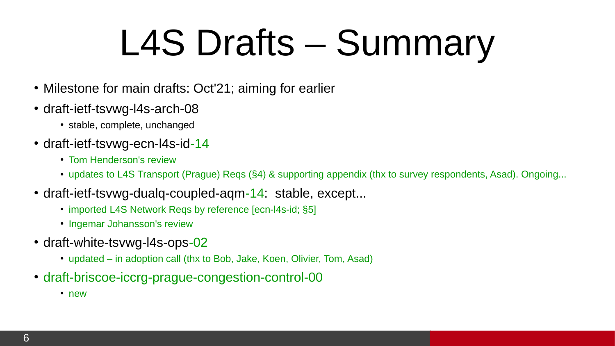### L4S Drafts – Summary

- Milestone for main drafts: Oct'21; aiming for earlier
- draft-ietf-tsvwg-l4s-arch-08
	- stable, complete, unchanged
- draft-ietf-tsvwg-ecn-l4s-id-14
	- Tom Henderson's review
	- updates to L4S Transport (Prague) Reqs (§4) & supporting appendix (thx to survey respondents, Asad). Ongoing...
- draft-ietf-tsvwg-dualq-coupled-aqm- $14$ : stable, except...
	- imported L4S Network Reqs by reference [ecn-l4s-id; §5]
	- Ingemar Johansson's review
- draft-white-tsvwg-l4s-ops-02
	- updated in adoption call (thx to Bob, Jake, Koen, Olivier, Tom, Asad)
- draft-briscoe-iccrg-prague-congestion-control-00
	- new